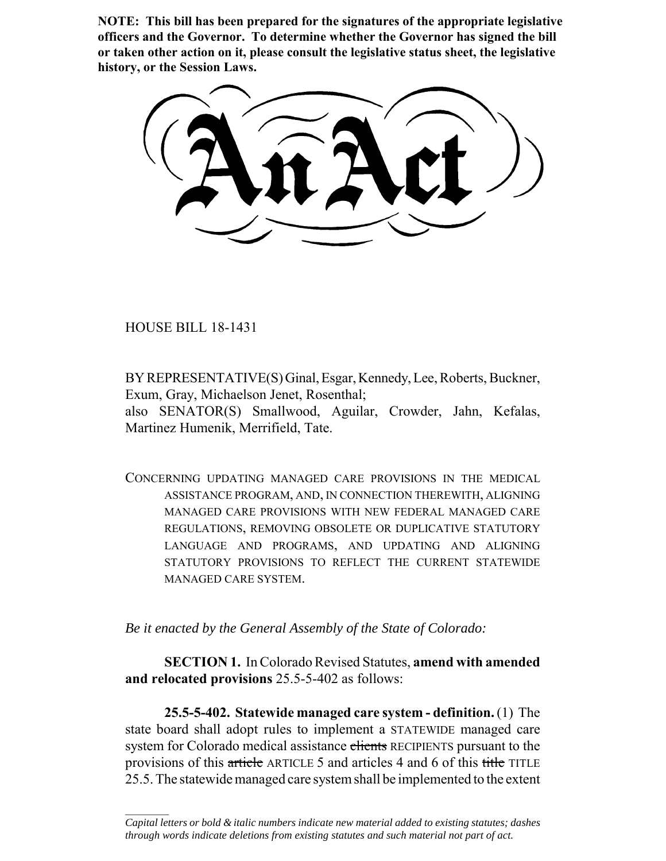**NOTE: This bill has been prepared for the signatures of the appropriate legislative officers and the Governor. To determine whether the Governor has signed the bill or taken other action on it, please consult the legislative status sheet, the legislative history, or the Session Laws.**

HOUSE BILL 18-1431

 $\frac{1}{2}$ 

BY REPRESENTATIVE(S) Ginal, Esgar, Kennedy, Lee, Roberts, Buckner, Exum, Gray, Michaelson Jenet, Rosenthal;

also SENATOR(S) Smallwood, Aguilar, Crowder, Jahn, Kefalas, Martinez Humenik, Merrifield, Tate.

CONCERNING UPDATING MANAGED CARE PROVISIONS IN THE MEDICAL ASSISTANCE PROGRAM, AND, IN CONNECTION THEREWITH, ALIGNING MANAGED CARE PROVISIONS WITH NEW FEDERAL MANAGED CARE REGULATIONS, REMOVING OBSOLETE OR DUPLICATIVE STATUTORY LANGUAGE AND PROGRAMS, AND UPDATING AND ALIGNING STATUTORY PROVISIONS TO REFLECT THE CURRENT STATEWIDE MANAGED CARE SYSTEM.

*Be it enacted by the General Assembly of the State of Colorado:*

**SECTION 1.** In Colorado Revised Statutes, **amend with amended and relocated provisions** 25.5-5-402 as follows:

**25.5-5-402. Statewide managed care system - definition.** (1) The state board shall adopt rules to implement a STATEWIDE managed care system for Colorado medical assistance clients RECIPIENTS pursuant to the provisions of this article ARTICLE 5 and articles 4 and 6 of this title TITLE 25.5. The statewide managed care system shall be implemented to the extent

*Capital letters or bold & italic numbers indicate new material added to existing statutes; dashes through words indicate deletions from existing statutes and such material not part of act.*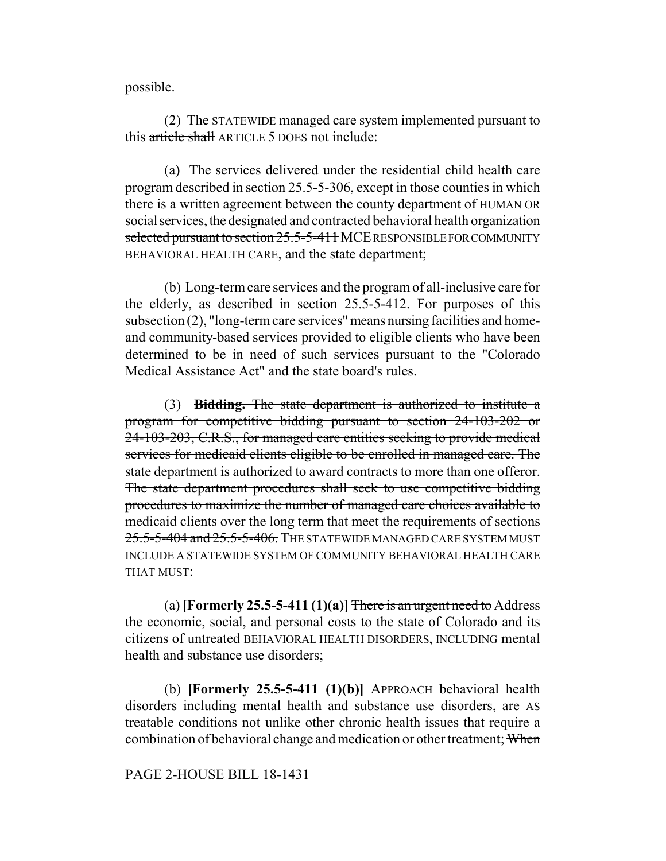possible.

(2) The STATEWIDE managed care system implemented pursuant to this article shall ARTICLE 5 DOES not include:

(a) The services delivered under the residential child health care program described in section 25.5-5-306, except in those counties in which there is a written agreement between the county department of HUMAN OR social services, the designated and contracted behavioral health organization selected pursuant to section 25.5-5-411 MCE RESPONSIBLE FOR COMMUNITY BEHAVIORAL HEALTH CARE, and the state department;

(b) Long-term care services and the program of all-inclusive care for the elderly, as described in section 25.5-5-412. For purposes of this subsection (2), "long-term care services" means nursing facilities and homeand community-based services provided to eligible clients who have been determined to be in need of such services pursuant to the "Colorado Medical Assistance Act" and the state board's rules.

(3) **Bidding.** The state department is authorized to institute a program for competitive bidding pursuant to section 24-103-202 or 24-103-203, C.R.S., for managed care entities seeking to provide medical services for medicaid clients eligible to be enrolled in managed care. The state department is authorized to award contracts to more than one offeror. The state department procedures shall seek to use competitive bidding procedures to maximize the number of managed care choices available to medicaid clients over the long term that meet the requirements of sections 25.5-5-404 and 25.5-5-406. THE STATEWIDE MANAGED CARE SYSTEM MUST INCLUDE A STATEWIDE SYSTEM OF COMMUNITY BEHAVIORAL HEALTH CARE THAT MUST:

(a) **[Formerly 25.5-5-411 (1)(a)]** There is an urgent need to Address the economic, social, and personal costs to the state of Colorado and its citizens of untreated BEHAVIORAL HEALTH DISORDERS, INCLUDING mental health and substance use disorders;

(b) **[Formerly 25.5-5-411 (1)(b)]** APPROACH behavioral health disorders including mental health and substance use disorders, are AS treatable conditions not unlike other chronic health issues that require a combination of behavioral change and medication or other treatment; When

## PAGE 2-HOUSE BILL 18-1431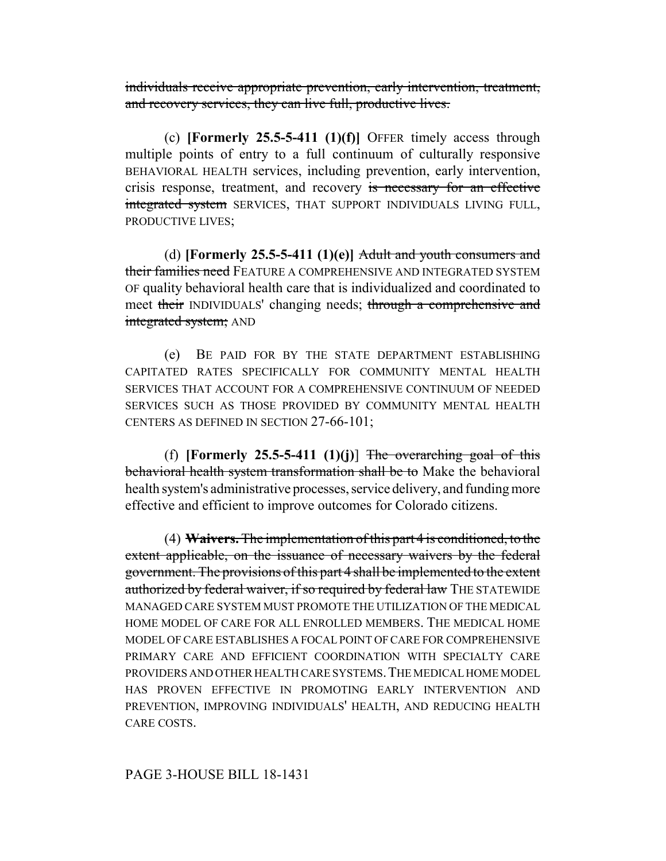individuals receive appropriate prevention, early intervention, treatment, and recovery services, they can live full, productive lives.

(c) **[Formerly 25.5-5-411 (1)(f)]** OFFER timely access through multiple points of entry to a full continuum of culturally responsive BEHAVIORAL HEALTH services, including prevention, early intervention, crisis response, treatment, and recovery is necessary for an effective integrated system SERVICES, THAT SUPPORT INDIVIDUALS LIVING FULL, PRODUCTIVE LIVES;

(d) **[Formerly 25.5-5-411 (1)(e)]** Adult and youth consumers and their families need FEATURE A COMPREHENSIVE AND INTEGRATED SYSTEM OF quality behavioral health care that is individualized and coordinated to meet their INDIVIDUALS' changing needs; through a comprehensive and integrated system; AND

(e) BE PAID FOR BY THE STATE DEPARTMENT ESTABLISHING CAPITATED RATES SPECIFICALLY FOR COMMUNITY MENTAL HEALTH SERVICES THAT ACCOUNT FOR A COMPREHENSIVE CONTINUUM OF NEEDED SERVICES SUCH AS THOSE PROVIDED BY COMMUNITY MENTAL HEALTH CENTERS AS DEFINED IN SECTION 27-66-101;

(f) **[Formerly 25.5-5-411** (1)(j)] The overarching goal of this behavioral health system transformation shall be to Make the behavioral health system's administrative processes, service delivery, and funding more effective and efficient to improve outcomes for Colorado citizens.

(4) **Waivers.** The implementation of this part 4 is conditioned, to the extent applicable, on the issuance of necessary waivers by the federal government. The provisions of this part 4 shall be implemented to the extent authorized by federal waiver, if so required by federal law THE STATEWIDE MANAGED CARE SYSTEM MUST PROMOTE THE UTILIZATION OF THE MEDICAL HOME MODEL OF CARE FOR ALL ENROLLED MEMBERS. THE MEDICAL HOME MODEL OF CARE ESTABLISHES A FOCAL POINT OF CARE FOR COMPREHENSIVE PRIMARY CARE AND EFFICIENT COORDINATION WITH SPECIALTY CARE PROVIDERS AND OTHER HEALTH CARE SYSTEMS.THE MEDICAL HOME MODEL HAS PROVEN EFFECTIVE IN PROMOTING EARLY INTERVENTION AND PREVENTION, IMPROVING INDIVIDUALS' HEALTH, AND REDUCING HEALTH CARE COSTS.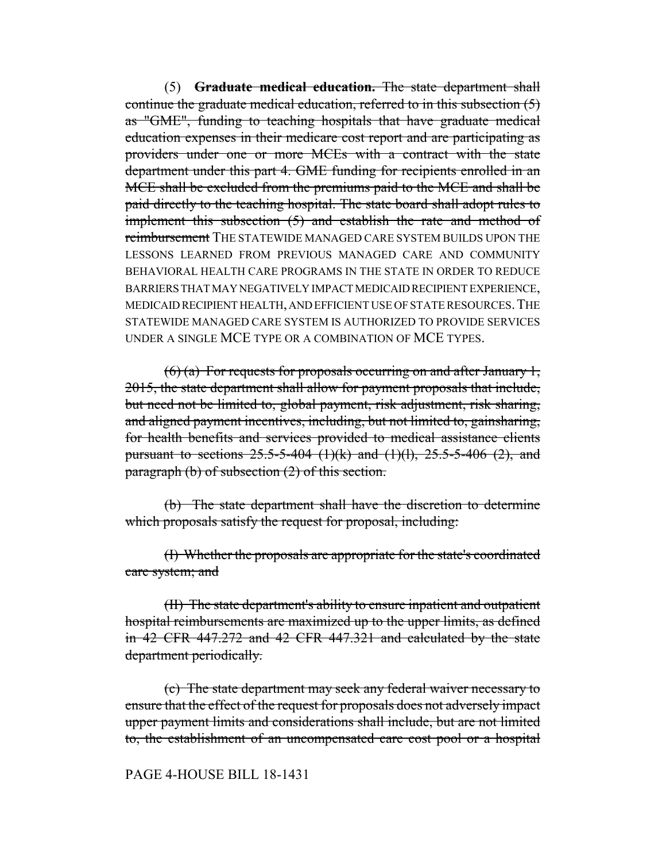(5) **Graduate medical education.** The state department shall continue the graduate medical education, referred to in this subsection  $(5)$ as "GME", funding to teaching hospitals that have graduate medical education expenses in their medicare cost report and are participating as providers under one or more MCEs with a contract with the state department under this part 4. GME funding for recipients enrolled in an MCE shall be excluded from the premiums paid to the MCE and shall be paid directly to the teaching hospital. The state board shall adopt rules to implement this subsection (5) and establish the rate and method of reimbursement THE STATEWIDE MANAGED CARE SYSTEM BUILDS UPON THE LESSONS LEARNED FROM PREVIOUS MANAGED CARE AND COMMUNITY BEHAVIORAL HEALTH CARE PROGRAMS IN THE STATE IN ORDER TO REDUCE BARRIERS THAT MAY NEGATIVELY IMPACT MEDICAID RECIPIENT EXPERIENCE, MEDICAID RECIPIENT HEALTH, AND EFFICIENT USE OF STATE RESOURCES.THE STATEWIDE MANAGED CARE SYSTEM IS AUTHORIZED TO PROVIDE SERVICES UNDER A SINGLE MCE TYPE OR A COMBINATION OF MCE TYPES.

 $(6)$  (a) For requests for proposals occurring on and after January 1, 2015, the state department shall allow for payment proposals that include, but need not be limited to, global payment, risk adjustment, risk sharing, and aligned payment incentives, including, but not limited to, gainsharing, for health benefits and services provided to medical assistance clients pursuant to sections  $25.5 - 5 - 404$  (1)(k) and (1)(l),  $25.5 - 5 - 406$  (2), and paragraph  $(b)$  of subsection  $(2)$  of this section.

(b) The state department shall have the discretion to determine which proposals satisfy the request for proposal, including:

(I) Whether the proposals are appropriate for the state's coordinated care system; and

(II) The state department's ability to ensure inpatient and outpatient hospital reimbursements are maximized up to the upper limits, as defined in 42 CFR 447.272 and 42 CFR 447.321 and calculated by the state department periodically.

(c) The state department may seek any federal waiver necessary to ensure that the effect of the request for proposals does not adversely impact upper payment limits and considerations shall include, but are not limited to, the establishment of an uncompensated care cost pool or a hospital

## PAGE 4-HOUSE BILL 18-1431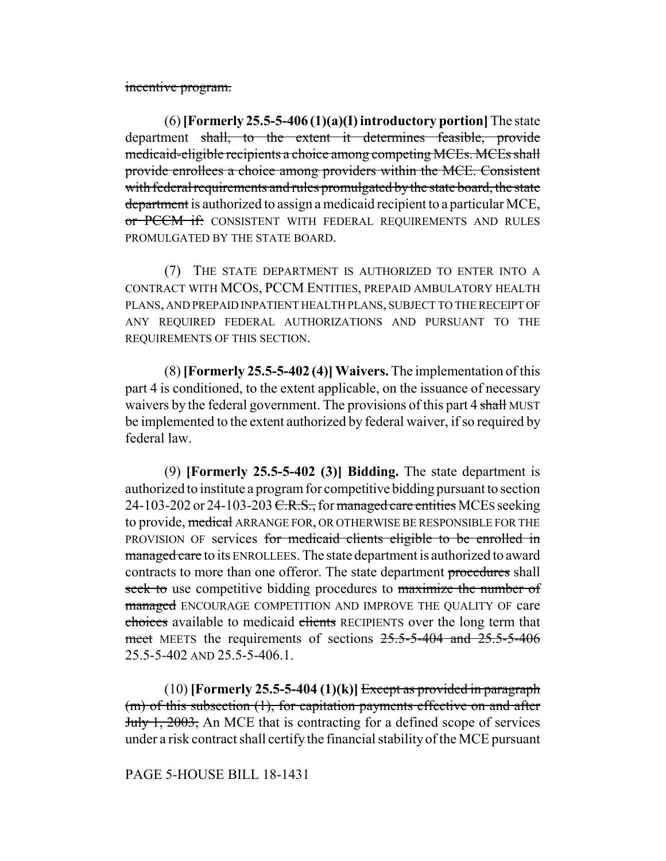incentive program.

(6) **[Formerly 25.5-5-406 (1)(a)(I) introductory portion]** The state department shall, to the extent it determines feasible, provide medicaid-eligible recipients a choice among competing MCEs. MCEs shall provide enrollees a choice among providers within the MCE. Consistent with federal requirements and rules promulgated by the state board, the state department is authorized to assign a medicaid recipient to a particular MCE, or PCCM if: CONSISTENT WITH FEDERAL REQUIREMENTS AND RULES PROMULGATED BY THE STATE BOARD.

(7) THE STATE DEPARTMENT IS AUTHORIZED TO ENTER INTO A CONTRACT WITH MCOS, PCCM ENTITIES, PREPAID AMBULATORY HEALTH PLANS, AND PREPAID INPATIENT HEALTH PLANS, SUBJECT TO THE RECEIPT OF ANY REQUIRED FEDERAL AUTHORIZATIONS AND PURSUANT TO THE REQUIREMENTS OF THIS SECTION.

(8) **[Formerly 25.5-5-402 (4)]Waivers.** The implementation of this part 4 is conditioned, to the extent applicable, on the issuance of necessary waivers by the federal government. The provisions of this part 4 shall MUST be implemented to the extent authorized by federal waiver, if so required by federal law.

(9) **[Formerly 25.5-5-402 (3)] Bidding.** The state department is authorized to institute a program for competitive bidding pursuant to section 24-103-202 or 24-103-203  $C.R.S.,$  for managed care entities MCEs seeking to provide, medical ARRANGE FOR, OR OTHERWISE BE RESPONSIBLE FOR THE PROVISION OF services for medicaid clients eligible to be enrolled in managed care to its ENROLLEES. The state department is authorized to award contracts to more than one offeror. The state department procedures shall seek to use competitive bidding procedures to maximize the number of managed ENCOURAGE COMPETITION AND IMPROVE THE QUALITY OF care choices available to medicaid clients RECIPIENTS over the long term that meet MEETS the requirements of sections 25.5-5-404 and 25.5-5-406 25.5-5-402 AND 25.5-5-406.1.

 $(10)$  **[Formerly 25.5-5-404 (1)(k)]** Except as provided in paragraph (m) of this subsection (1), for capitation payments effective on and after July 1, 2003, An MCE that is contracting for a defined scope of services under a risk contract shall certify the financial stability of the MCE pursuant

# PAGE 5-HOUSE BILL 18-1431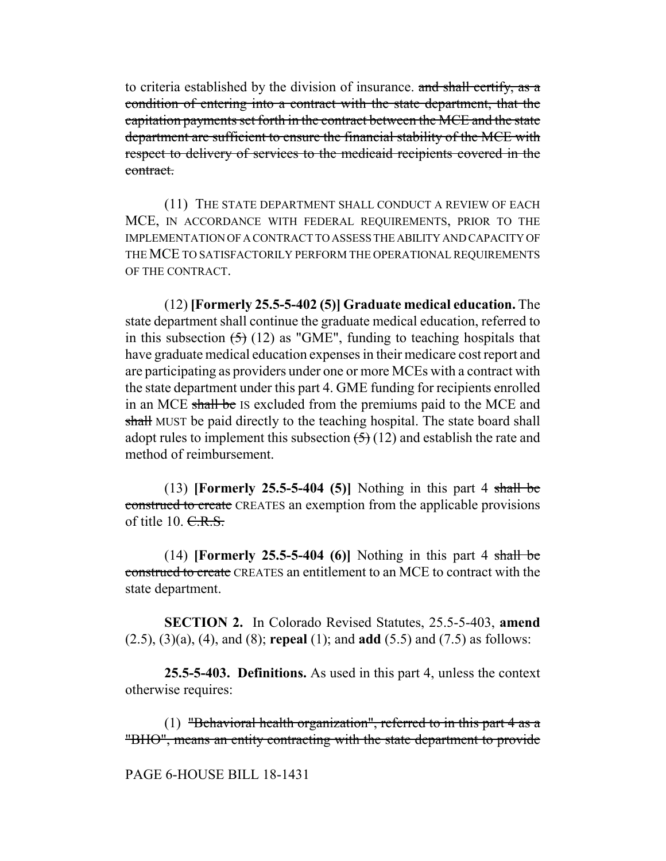to criteria established by the division of insurance. and shall certify, as a condition of entering into a contract with the state department, that the capitation payments set forth in the contract between the MCE and the state department are sufficient to ensure the financial stability of the MCE with respect to delivery of services to the medicaid recipients covered in the contract.

(11) THE STATE DEPARTMENT SHALL CONDUCT A REVIEW OF EACH MCE, IN ACCORDANCE WITH FEDERAL REQUIREMENTS, PRIOR TO THE IMPLEMENTATION OF A CONTRACT TO ASSESS THE ABILITY AND CAPACITY OF THE MCE TO SATISFACTORILY PERFORM THE OPERATIONAL REQUIREMENTS OF THE CONTRACT.

(12) **[Formerly 25.5-5-402 (5)] Graduate medical education.** The state department shall continue the graduate medical education, referred to in this subsection  $(5)$  (12) as "GME", funding to teaching hospitals that have graduate medical education expenses in their medicare cost report and are participating as providers under one or more MCEs with a contract with the state department under this part 4. GME funding for recipients enrolled in an MCE shall be IS excluded from the premiums paid to the MCE and shall MUST be paid directly to the teaching hospital. The state board shall adopt rules to implement this subsection  $(5)(12)$  and establish the rate and method of reimbursement.

(13) **[Formerly 25.5-5-404 (5)]** Nothing in this part 4 shall be construed to create CREATES an exemption from the applicable provisions of title  $10. \text{C.R.S.}$ 

(14) **[Formerly 25.5-5-404 (6)]** Nothing in this part 4 shall be construed to create CREATES an entitlement to an MCE to contract with the state department.

**SECTION 2.** In Colorado Revised Statutes, 25.5-5-403, **amend** (2.5), (3)(a), (4), and (8); **repeal** (1); and **add** (5.5) and (7.5) as follows:

**25.5-5-403. Definitions.** As used in this part 4, unless the context otherwise requires:

(1) "Behavioral health organization", referred to in this part  $4$  as a "BHO", means an entity contracting with the state department to provide

PAGE 6-HOUSE BILL 18-1431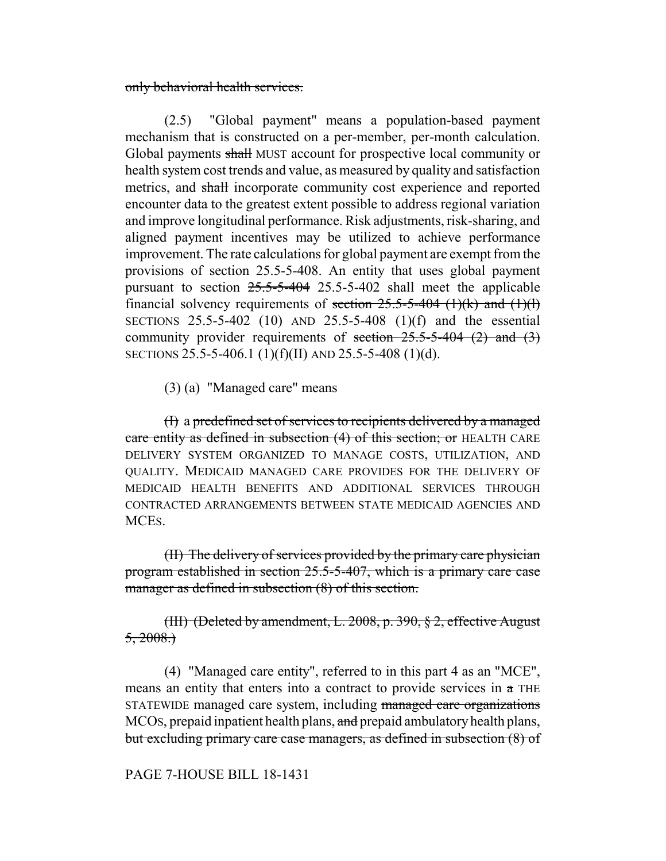only behavioral health services.

(2.5) "Global payment" means a population-based payment mechanism that is constructed on a per-member, per-month calculation. Global payments shall MUST account for prospective local community or health system cost trends and value, as measured by quality and satisfaction metrics, and shall incorporate community cost experience and reported encounter data to the greatest extent possible to address regional variation and improve longitudinal performance. Risk adjustments, risk-sharing, and aligned payment incentives may be utilized to achieve performance improvement. The rate calculations for global payment are exempt from the provisions of section 25.5-5-408. An entity that uses global payment pursuant to section  $25.5-5-404$  25.5-5-402 shall meet the applicable financial solvency requirements of <del>section 25.5-5-404 (1)(k) and (1)(l)</del> SECTIONS 25.5-5-402 (10) AND 25.5-5-408 (1)(f) and the essential community provider requirements of section  $25.5-5-404$  (2) and (3) SECTIONS 25.5-5-406.1 (1)(f)(II) AND 25.5-5-408 (1)(d).

(3) (a) "Managed care" means

(I) a predefined set of services to recipients delivered by a managed care entity as defined in subsection (4) of this section; or HEALTH CARE DELIVERY SYSTEM ORGANIZED TO MANAGE COSTS, UTILIZATION, AND QUALITY. MEDICAID MANAGED CARE PROVIDES FOR THE DELIVERY OF MEDICAID HEALTH BENEFITS AND ADDITIONAL SERVICES THROUGH CONTRACTED ARRANGEMENTS BETWEEN STATE MEDICAID AGENCIES AND MCES.

(II) The delivery of services provided by the primary care physician program established in section 25.5-5-407, which is a primary care case manager as defined in subsection  $(8)$  of this section.

(III) (Deleted by amendment, L. 2008, p. 390, § 2, effective August  $5, 2008.$ 

(4) "Managed care entity", referred to in this part 4 as an "MCE", means an entity that enters into a contract to provide services in a THE STATEWIDE managed care system, including managed care organizations MCOs, prepaid inpatient health plans, and prepaid ambulatory health plans, but excluding primary care case managers, as defined in subsection (8) of

PAGE 7-HOUSE BILL 18-1431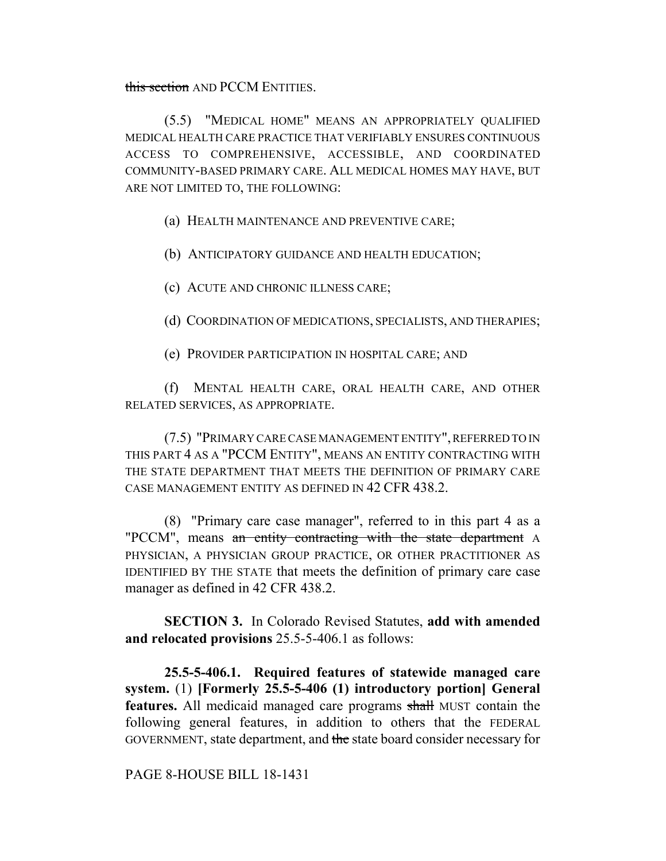this section AND PCCM ENTITIES.

(5.5) "MEDICAL HOME" MEANS AN APPROPRIATELY QUALIFIED MEDICAL HEALTH CARE PRACTICE THAT VERIFIABLY ENSURES CONTINUOUS ACCESS TO COMPREHENSIVE, ACCESSIBLE, AND COORDINATED COMMUNITY-BASED PRIMARY CARE. ALL MEDICAL HOMES MAY HAVE, BUT ARE NOT LIMITED TO, THE FOLLOWING:

(a) HEALTH MAINTENANCE AND PREVENTIVE CARE;

(b) ANTICIPATORY GUIDANCE AND HEALTH EDUCATION;

(c) ACUTE AND CHRONIC ILLNESS CARE;

(d) COORDINATION OF MEDICATIONS, SPECIALISTS, AND THERAPIES;

(e) PROVIDER PARTICIPATION IN HOSPITAL CARE; AND

(f) MENTAL HEALTH CARE, ORAL HEALTH CARE, AND OTHER RELATED SERVICES, AS APPROPRIATE.

(7.5) "PRIMARY CARE CASE MANAGEMENT ENTITY", REFERRED TO IN THIS PART 4 AS A "PCCM ENTITY", MEANS AN ENTITY CONTRACTING WITH THE STATE DEPARTMENT THAT MEETS THE DEFINITION OF PRIMARY CARE CASE MANAGEMENT ENTITY AS DEFINED IN 42 CFR 438.2.

(8) "Primary care case manager", referred to in this part 4 as a "PCCM", means an entity contracting with the state department A PHYSICIAN, A PHYSICIAN GROUP PRACTICE, OR OTHER PRACTITIONER AS IDENTIFIED BY THE STATE that meets the definition of primary care case manager as defined in 42 CFR 438.2.

**SECTION 3.** In Colorado Revised Statutes, **add with amended and relocated provisions** 25.5-5-406.1 as follows:

**25.5-5-406.1. Required features of statewide managed care system.** (1) **[Formerly 25.5-5-406 (1) introductory portion] General features.** All medicaid managed care programs shall MUST contain the following general features, in addition to others that the FEDERAL GOVERNMENT, state department, and the state board consider necessary for

PAGE 8-HOUSE BILL 18-1431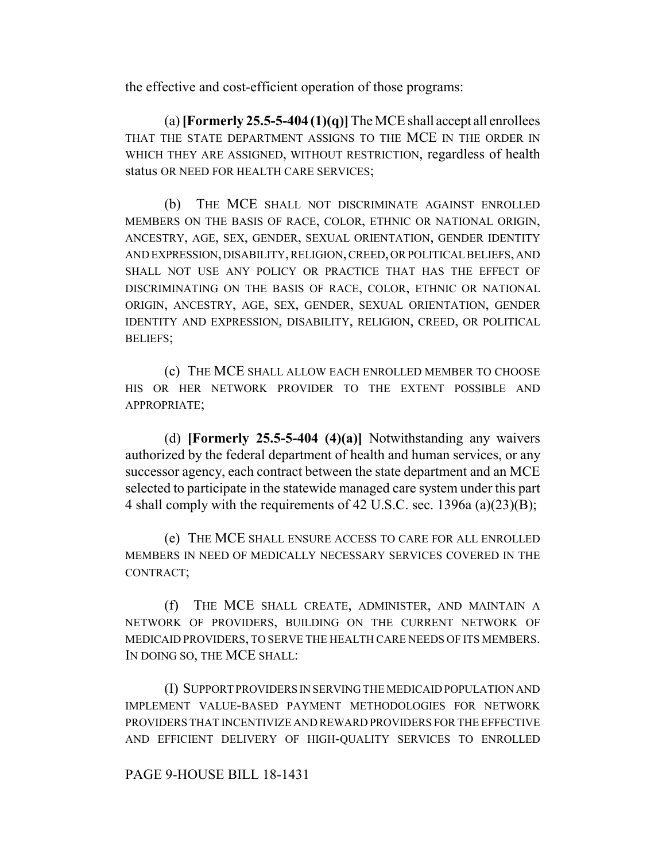the effective and cost-efficient operation of those programs:

(a) **[Formerly 25.5-5-404 (1)(q)]** The MCE shall accept all enrollees THAT THE STATE DEPARTMENT ASSIGNS TO THE MCE IN THE ORDER IN WHICH THEY ARE ASSIGNED, WITHOUT RESTRICTION, regardless of health status OR NEED FOR HEALTH CARE SERVICES;

(b) THE MCE SHALL NOT DISCRIMINATE AGAINST ENROLLED MEMBERS ON THE BASIS OF RACE, COLOR, ETHNIC OR NATIONAL ORIGIN, ANCESTRY, AGE, SEX, GENDER, SEXUAL ORIENTATION, GENDER IDENTITY AND EXPRESSION, DISABILITY, RELIGION, CREED, OR POLITICAL BELIEFS, AND SHALL NOT USE ANY POLICY OR PRACTICE THAT HAS THE EFFECT OF DISCRIMINATING ON THE BASIS OF RACE, COLOR, ETHNIC OR NATIONAL ORIGIN, ANCESTRY, AGE, SEX, GENDER, SEXUAL ORIENTATION, GENDER IDENTITY AND EXPRESSION, DISABILITY, RELIGION, CREED, OR POLITICAL BELIEFS;

(c) THE MCE SHALL ALLOW EACH ENROLLED MEMBER TO CHOOSE HIS OR HER NETWORK PROVIDER TO THE EXTENT POSSIBLE AND APPROPRIATE;

(d) **[Formerly 25.5-5-404 (4)(a)]** Notwithstanding any waivers authorized by the federal department of health and human services, or any successor agency, each contract between the state department and an MCE selected to participate in the statewide managed care system under this part 4 shall comply with the requirements of 42 U.S.C. sec. 1396a (a)(23)(B);

(e) THE MCE SHALL ENSURE ACCESS TO CARE FOR ALL ENROLLED MEMBERS IN NEED OF MEDICALLY NECESSARY SERVICES COVERED IN THE CONTRACT;

(f) THE MCE SHALL CREATE, ADMINISTER, AND MAINTAIN A NETWORK OF PROVIDERS, BUILDING ON THE CURRENT NETWORK OF MEDICAID PROVIDERS, TO SERVE THE HEALTH CARE NEEDS OF ITS MEMBERS. IN DOING SO, THE MCE SHALL:

(I) SUPPORT PROVIDERS IN SERVING THE MEDICAID POPULATION AND IMPLEMENT VALUE-BASED PAYMENT METHODOLOGIES FOR NETWORK PROVIDERS THAT INCENTIVIZE AND REWARD PROVIDERS FOR THE EFFECTIVE AND EFFICIENT DELIVERY OF HIGH-QUALITY SERVICES TO ENROLLED

### PAGE 9-HOUSE BILL 18-1431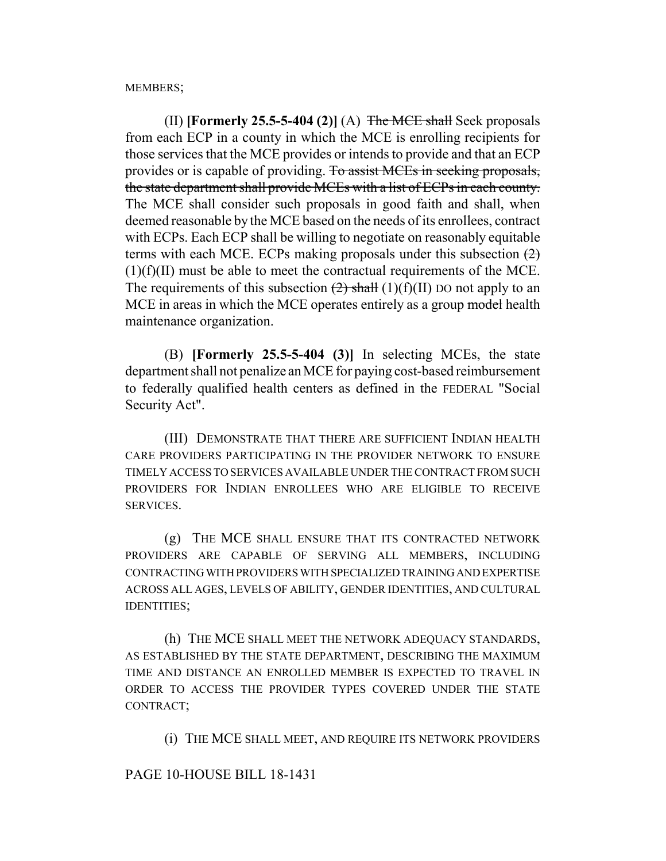MEMBERS;

(II) **[Formerly 25.5-5-404 (2)]** (A)  $\overline{\text{The MCE shall}}$  Seek proposals from each ECP in a county in which the MCE is enrolling recipients for those services that the MCE provides or intends to provide and that an ECP provides or is capable of providing. To assist MCEs in seeking proposals, the state department shall provide MCEs with a list of ECPs in each county. The MCE shall consider such proposals in good faith and shall, when deemed reasonable by the MCE based on the needs of its enrollees, contract with ECPs. Each ECP shall be willing to negotiate on reasonably equitable terms with each MCE. ECPs making proposals under this subsection  $(2)$ (1)(f)(II) must be able to meet the contractual requirements of the MCE. The requirements of this subsection  $(2)$  shall  $(1)(f)(II)$  DO not apply to an MCE in areas in which the MCE operates entirely as a group model health maintenance organization.

(B) **[Formerly 25.5-5-404 (3)]** In selecting MCEs, the state department shall not penalize an MCE for paying cost-based reimbursement to federally qualified health centers as defined in the FEDERAL "Social Security Act".

(III) DEMONSTRATE THAT THERE ARE SUFFICIENT INDIAN HEALTH CARE PROVIDERS PARTICIPATING IN THE PROVIDER NETWORK TO ENSURE TIMELY ACCESS TO SERVICES AVAILABLE UNDER THE CONTRACT FROM SUCH PROVIDERS FOR INDIAN ENROLLEES WHO ARE ELIGIBLE TO RECEIVE SERVICES.

(g) THE MCE SHALL ENSURE THAT ITS CONTRACTED NETWORK PROVIDERS ARE CAPABLE OF SERVING ALL MEMBERS, INCLUDING CONTRACTING WITH PROVIDERS WITH SPECIALIZED TRAINING AND EXPERTISE ACROSS ALL AGES, LEVELS OF ABILITY, GENDER IDENTITIES, AND CULTURAL IDENTITIES;

(h) THE MCE SHALL MEET THE NETWORK ADEQUACY STANDARDS, AS ESTABLISHED BY THE STATE DEPARTMENT, DESCRIBING THE MAXIMUM TIME AND DISTANCE AN ENROLLED MEMBER IS EXPECTED TO TRAVEL IN ORDER TO ACCESS THE PROVIDER TYPES COVERED UNDER THE STATE CONTRACT;

(i) THE MCE SHALL MEET, AND REQUIRE ITS NETWORK PROVIDERS

### PAGE 10-HOUSE BILL 18-1431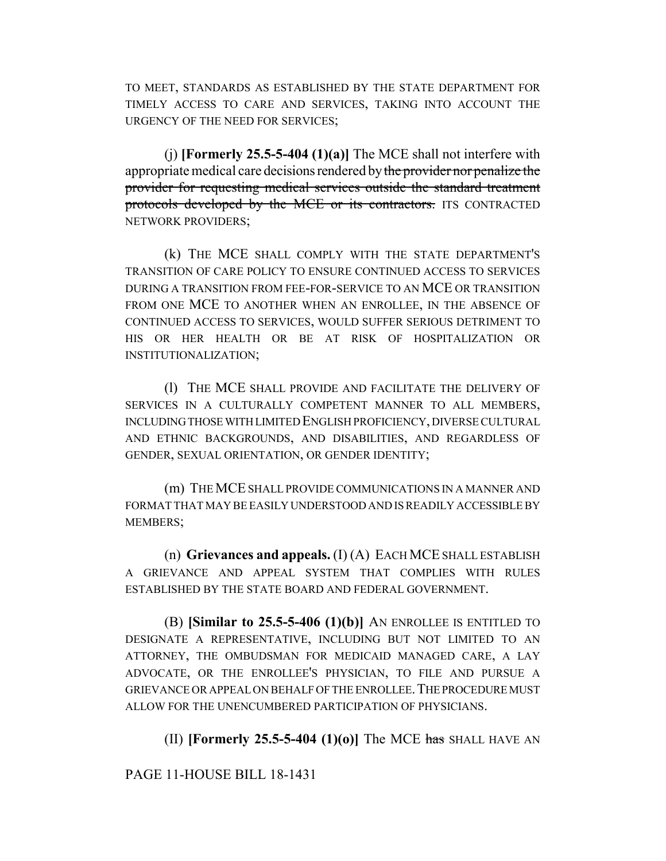TO MEET, STANDARDS AS ESTABLISHED BY THE STATE DEPARTMENT FOR TIMELY ACCESS TO CARE AND SERVICES, TAKING INTO ACCOUNT THE URGENCY OF THE NEED FOR SERVICES;

(j) **[Formerly 25.5-5-404 (1)(a)]** The MCE shall not interfere with appropriate medical care decisions rendered by the provider nor penalize the provider for requesting medical services outside the standard treatment protocols developed by the MCE or its contractors. ITS CONTRACTED NETWORK PROVIDERS;

(k) THE MCE SHALL COMPLY WITH THE STATE DEPARTMENT'S TRANSITION OF CARE POLICY TO ENSURE CONTINUED ACCESS TO SERVICES DURING A TRANSITION FROM FEE-FOR-SERVICE TO AN MCE OR TRANSITION FROM ONE MCE TO ANOTHER WHEN AN ENROLLEE, IN THE ABSENCE OF CONTINUED ACCESS TO SERVICES, WOULD SUFFER SERIOUS DETRIMENT TO HIS OR HER HEALTH OR BE AT RISK OF HOSPITALIZATION OR INSTITUTIONALIZATION;

(l) THE MCE SHALL PROVIDE AND FACILITATE THE DELIVERY OF SERVICES IN A CULTURALLY COMPETENT MANNER TO ALL MEMBERS, INCLUDING THOSE WITH LIMITED ENGLISH PROFICIENCY, DIVERSE CULTURAL AND ETHNIC BACKGROUNDS, AND DISABILITIES, AND REGARDLESS OF GENDER, SEXUAL ORIENTATION, OR GENDER IDENTITY;

(m) THE MCE SHALL PROVIDE COMMUNICATIONS IN A MANNER AND FORMAT THAT MAY BE EASILY UNDERSTOOD AND IS READILY ACCESSIBLE BY MEMBERS;

(n) **Grievances and appeals.** (I) (A) EACH MCE SHALL ESTABLISH A GRIEVANCE AND APPEAL SYSTEM THAT COMPLIES WITH RULES ESTABLISHED BY THE STATE BOARD AND FEDERAL GOVERNMENT.

(B) **[Similar to 25.5-5-406 (1)(b)]** AN ENROLLEE IS ENTITLED TO DESIGNATE A REPRESENTATIVE, INCLUDING BUT NOT LIMITED TO AN ATTORNEY, THE OMBUDSMAN FOR MEDICAID MANAGED CARE, A LAY ADVOCATE, OR THE ENROLLEE'S PHYSICIAN, TO FILE AND PURSUE A GRIEVANCE OR APPEAL ON BEHALF OF THE ENROLLEE.THE PROCEDURE MUST ALLOW FOR THE UNENCUMBERED PARTICIPATION OF PHYSICIANS.

(II) **[Formerly 25.5-5-404 (1)(o)]** The MCE has SHALL HAVE AN

PAGE 11-HOUSE BILL 18-1431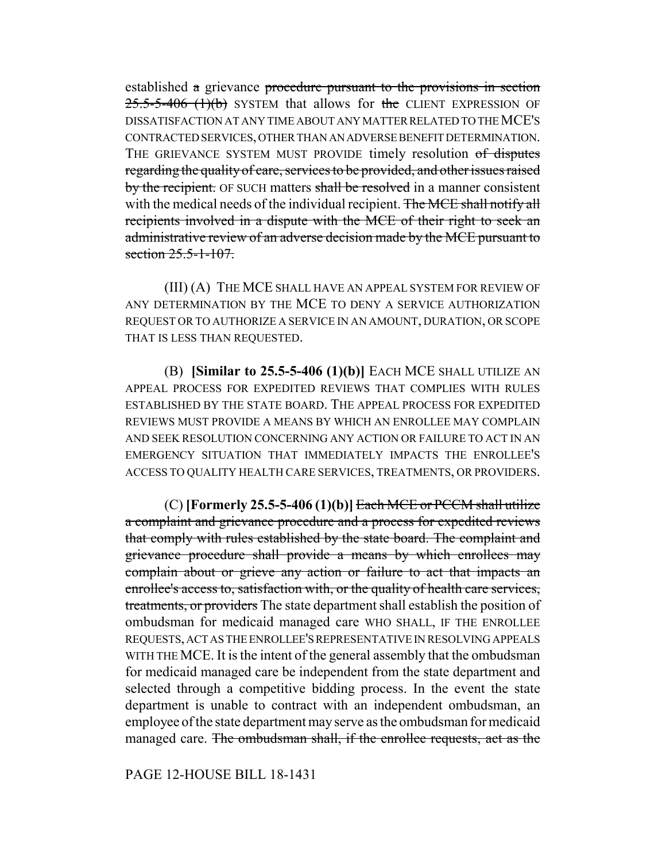established a grievance procedure pursuant to the provisions in section  $25.5-5-406$  (1)(b) SYSTEM that allows for the CLIENT EXPRESSION OF DISSATISFACTION AT ANY TIME ABOUT ANY MATTER RELATED TO THE MCE'S CONTRACTED SERVICES, OTHER THAN AN ADVERSE BENEFIT DETERMINATION. THE GRIEVANCE SYSTEM MUST PROVIDE timely resolution of disputes regarding the quality of care, services to be provided, and other issues raised by the recipient. OF SUCH matters shall be resolved in a manner consistent with the medical needs of the individual recipient. The MCE shall notify all recipients involved in a dispute with the MCE of their right to seek an administrative review of an adverse decision made by the MCE pursuant to section 25.5-1-107.

(III) (A) THE MCE SHALL HAVE AN APPEAL SYSTEM FOR REVIEW OF ANY DETERMINATION BY THE MCE TO DENY A SERVICE AUTHORIZATION REQUEST OR TO AUTHORIZE A SERVICE IN AN AMOUNT, DURATION, OR SCOPE THAT IS LESS THAN REQUESTED.

(B) **[Similar to 25.5-5-406 (1)(b)]** EACH MCE SHALL UTILIZE AN APPEAL PROCESS FOR EXPEDITED REVIEWS THAT COMPLIES WITH RULES ESTABLISHED BY THE STATE BOARD. THE APPEAL PROCESS FOR EXPEDITED REVIEWS MUST PROVIDE A MEANS BY WHICH AN ENROLLEE MAY COMPLAIN AND SEEK RESOLUTION CONCERNING ANY ACTION OR FAILURE TO ACT IN AN EMERGENCY SITUATION THAT IMMEDIATELY IMPACTS THE ENROLLEE'S ACCESS TO QUALITY HEALTH CARE SERVICES, TREATMENTS, OR PROVIDERS.

 $(C)$  **[Formerly 25.5-5-406 (1)(b)]** Each MCE or PCCM shall utilize a complaint and grievance procedure and a process for expedited reviews that comply with rules established by the state board. The complaint and grievance procedure shall provide a means by which enrollees may complain about or grieve any action or failure to act that impacts an enrollee's access to, satisfaction with, or the quality of health care services, treatments, or providers The state department shall establish the position of ombudsman for medicaid managed care WHO SHALL, IF THE ENROLLEE REQUESTS, ACT AS THE ENROLLEE'S REPRESENTATIVE IN RESOLVING APPEALS WITH THE MCE. It is the intent of the general assembly that the ombudsman for medicaid managed care be independent from the state department and selected through a competitive bidding process. In the event the state department is unable to contract with an independent ombudsman, an employee of the state department may serve as the ombudsman for medicaid managed care. The ombudsman shall, if the enrollee requests, act as the

PAGE 12-HOUSE BILL 18-1431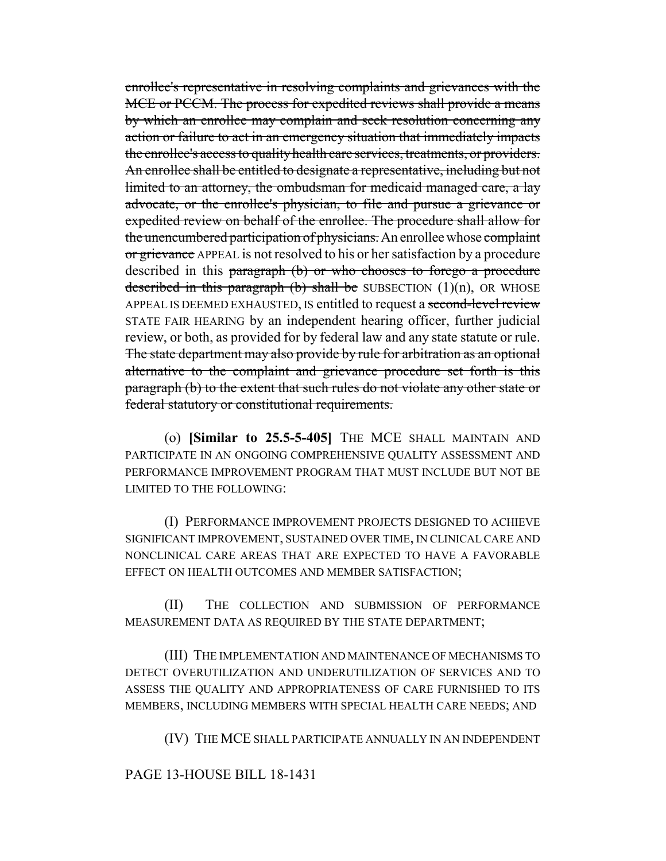enrollee's representative in resolving complaints and grievances with the MCE or PCCM. The process for expedited reviews shall provide a means by which an enrollee may complain and seek resolution concerning any action or failure to act in an emergency situation that immediately impacts the enrollee's access to quality health care services, treatments, or providers. An enrollee shall be entitled to designate a representative, including but not limited to an attorney, the ombudsman for medicaid managed care, a lay advocate, or the enrollee's physician, to file and pursue a grievance or expedited review on behalf of the enrollee. The procedure shall allow for the unencumbered participation of physicians. An enrollee whose complaint or grievance APPEAL is not resolved to his or her satisfaction by a procedure described in this paragraph (b) or who chooses to forego a procedure described in this paragraph (b) shall be SUBSECTION  $(1)(n)$ , OR WHOSE APPEAL IS DEEMED EXHAUSTED, IS entitled to request a second-level review STATE FAIR HEARING by an independent hearing officer, further judicial review, or both, as provided for by federal law and any state statute or rule. The state department may also provide by rule for arbitration as an optional alternative to the complaint and grievance procedure set forth is this paragraph (b) to the extent that such rules do not violate any other state or federal statutory or constitutional requirements.

(o) **[Similar to 25.5-5-405]** THE MCE SHALL MAINTAIN AND PARTICIPATE IN AN ONGOING COMPREHENSIVE QUALITY ASSESSMENT AND PERFORMANCE IMPROVEMENT PROGRAM THAT MUST INCLUDE BUT NOT BE LIMITED TO THE FOLLOWING:

(I) PERFORMANCE IMPROVEMENT PROJECTS DESIGNED TO ACHIEVE SIGNIFICANT IMPROVEMENT, SUSTAINED OVER TIME, IN CLINICAL CARE AND NONCLINICAL CARE AREAS THAT ARE EXPECTED TO HAVE A FAVORABLE EFFECT ON HEALTH OUTCOMES AND MEMBER SATISFACTION;

(II) THE COLLECTION AND SUBMISSION OF PERFORMANCE MEASUREMENT DATA AS REQUIRED BY THE STATE DEPARTMENT;

(III) THE IMPLEMENTATION AND MAINTENANCE OF MECHANISMS TO DETECT OVERUTILIZATION AND UNDERUTILIZATION OF SERVICES AND TO ASSESS THE QUALITY AND APPROPRIATENESS OF CARE FURNISHED TO ITS MEMBERS, INCLUDING MEMBERS WITH SPECIAL HEALTH CARE NEEDS; AND

(IV) THE MCE SHALL PARTICIPATE ANNUALLY IN AN INDEPENDENT

# PAGE 13-HOUSE BILL 18-1431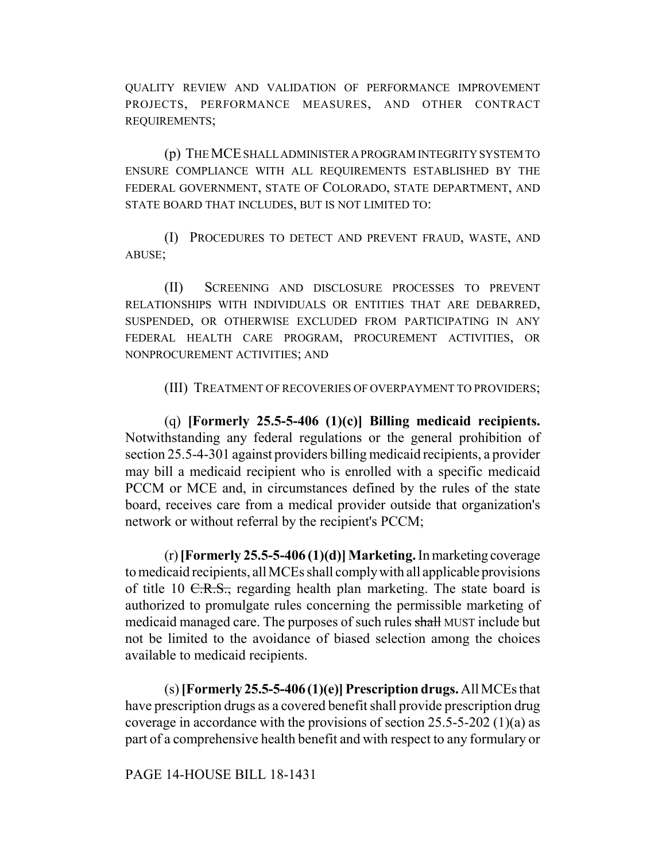QUALITY REVIEW AND VALIDATION OF PERFORMANCE IMPROVEMENT PROJECTS, PERFORMANCE MEASURES, AND OTHER CONTRACT REQUIREMENTS;

(p) THE MCE SHALL ADMINISTER A PROGRAM INTEGRITY SYSTEM TO ENSURE COMPLIANCE WITH ALL REQUIREMENTS ESTABLISHED BY THE FEDERAL GOVERNMENT, STATE OF COLORADO, STATE DEPARTMENT, AND STATE BOARD THAT INCLUDES, BUT IS NOT LIMITED TO:

(I) PROCEDURES TO DETECT AND PREVENT FRAUD, WASTE, AND ABUSE;

(II) SCREENING AND DISCLOSURE PROCESSES TO PREVENT RELATIONSHIPS WITH INDIVIDUALS OR ENTITIES THAT ARE DEBARRED, SUSPENDED, OR OTHERWISE EXCLUDED FROM PARTICIPATING IN ANY FEDERAL HEALTH CARE PROGRAM, PROCUREMENT ACTIVITIES, OR NONPROCUREMENT ACTIVITIES; AND

(III) TREATMENT OF RECOVERIES OF OVERPAYMENT TO PROVIDERS;

(q) **[Formerly 25.5-5-406 (1)(c)] Billing medicaid recipients.** Notwithstanding any federal regulations or the general prohibition of section 25.5-4-301 against providers billing medicaid recipients, a provider may bill a medicaid recipient who is enrolled with a specific medicaid PCCM or MCE and, in circumstances defined by the rules of the state board, receives care from a medical provider outside that organization's network or without referral by the recipient's PCCM;

(r) **[Formerly 25.5-5-406 (1)(d)] Marketing.** In marketing coverage to medicaid recipients, all MCEs shall comply with all applicable provisions of title 10  $C.R.S.,$  regarding health plan marketing. The state board is authorized to promulgate rules concerning the permissible marketing of medicaid managed care. The purposes of such rules shall MUST include but not be limited to the avoidance of biased selection among the choices available to medicaid recipients.

(s) **[Formerly 25.5-5-406 (1)(e)] Prescription drugs.** All MCEs that have prescription drugs as a covered benefit shall provide prescription drug coverage in accordance with the provisions of section 25.5-5-202 (1)(a) as part of a comprehensive health benefit and with respect to any formulary or

PAGE 14-HOUSE BILL 18-1431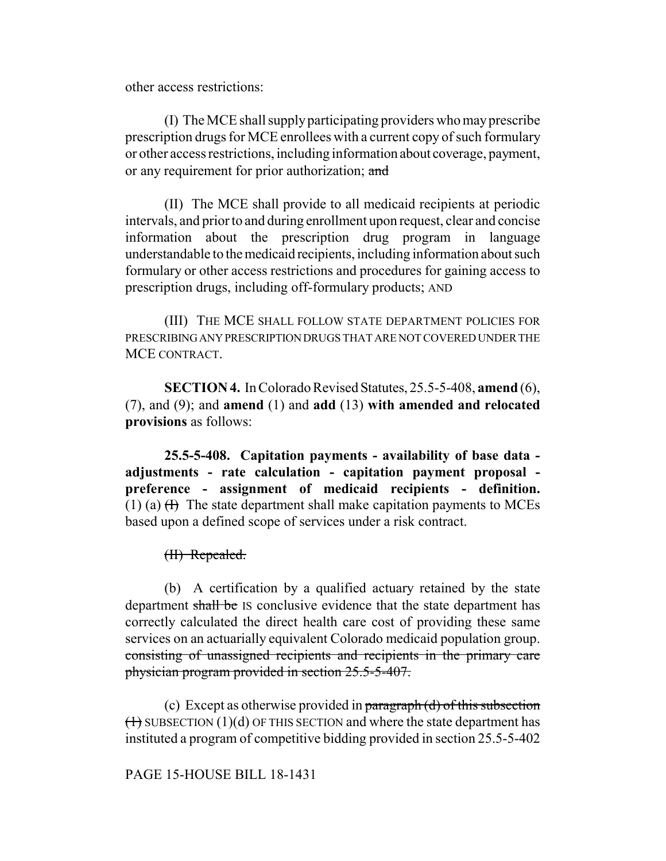other access restrictions:

(I) The MCE shall supply participating providers who may prescribe prescription drugs for MCE enrollees with a current copy of such formulary or other access restrictions, including information about coverage, payment, or any requirement for prior authorization; and

(II) The MCE shall provide to all medicaid recipients at periodic intervals, and prior to and during enrollment upon request, clear and concise information about the prescription drug program in language understandable to the medicaid recipients, including information about such formulary or other access restrictions and procedures for gaining access to prescription drugs, including off-formulary products; AND

(III) THE MCE SHALL FOLLOW STATE DEPARTMENT POLICIES FOR PRESCRIBING ANY PRESCRIPTION DRUGS THAT ARE NOT COVERED UNDER THE MCE CONTRACT.

**SECTION 4.** In Colorado Revised Statutes, 25.5-5-408, **amend** (6), (7), and (9); and **amend** (1) and **add** (13) **with amended and relocated provisions** as follows:

**25.5-5-408. Capitation payments - availability of base data adjustments - rate calculation - capitation payment proposal preference - assignment of medicaid recipients - definition.** (1) (a)  $(H)$  The state department shall make capitation payments to MCEs based upon a defined scope of services under a risk contract.

(II) Repealed.

(b) A certification by a qualified actuary retained by the state department shall be IS conclusive evidence that the state department has correctly calculated the direct health care cost of providing these same services on an actuarially equivalent Colorado medicaid population group. consisting of unassigned recipients and recipients in the primary care physician program provided in section 25.5-5-407.

(c) Except as otherwise provided in  $\frac{1}{2}$  paragraph (d) of this subsection  $(1)$  SUBSECTION (1)(d) OF THIS SECTION and where the state department has instituted a program of competitive bidding provided in section 25.5-5-402

# PAGE 15-HOUSE BILL 18-1431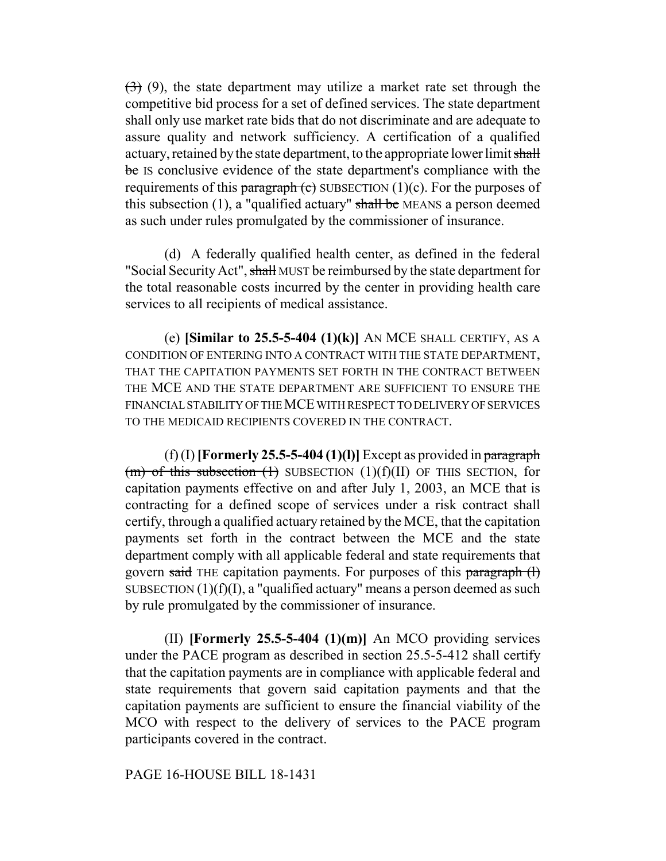$(3)$  (9), the state department may utilize a market rate set through the competitive bid process for a set of defined services. The state department shall only use market rate bids that do not discriminate and are adequate to assure quality and network sufficiency. A certification of a qualified actuary, retained by the state department, to the appropriate lower limit shall be IS conclusive evidence of the state department's compliance with the requirements of this paragraph  $(e)$  SUBSECTION  $(1)(c)$ . For the purposes of this subsection  $(1)$ , a "qualified actuary" shall be MEANS a person deemed as such under rules promulgated by the commissioner of insurance.

(d) A federally qualified health center, as defined in the federal "Social Security Act", shall MUST be reimbursed by the state department for the total reasonable costs incurred by the center in providing health care services to all recipients of medical assistance.

(e) **[Similar to 25.5-5-404 (1)(k)]** AN MCE SHALL CERTIFY, AS A CONDITION OF ENTERING INTO A CONTRACT WITH THE STATE DEPARTMENT, THAT THE CAPITATION PAYMENTS SET FORTH IN THE CONTRACT BETWEEN THE MCE AND THE STATE DEPARTMENT ARE SUFFICIENT TO ENSURE THE FINANCIAL STABILITY OF THE MCE WITH RESPECT TO DELIVERY OF SERVICES TO THE MEDICAID RECIPIENTS COVERED IN THE CONTRACT.

 $(f)$  (I) **[Formerly 25.5-5-404 (1)(l)**] Except as provided in paragraph (m) of this subsection  $(1)$  SUBSECTION  $(1)(f)(II)$  OF THIS SECTION, for capitation payments effective on and after July 1, 2003, an MCE that is contracting for a defined scope of services under a risk contract shall certify, through a qualified actuary retained by the MCE, that the capitation payments set forth in the contract between the MCE and the state department comply with all applicable federal and state requirements that govern said THE capitation payments. For purposes of this paragraph (l) SUBSECTION  $(1)(f)(I)$ , a "qualified actuary" means a person deemed as such by rule promulgated by the commissioner of insurance.

(II) **[Formerly 25.5-5-404 (1)(m)]** An MCO providing services under the PACE program as described in section 25.5-5-412 shall certify that the capitation payments are in compliance with applicable federal and state requirements that govern said capitation payments and that the capitation payments are sufficient to ensure the financial viability of the MCO with respect to the delivery of services to the PACE program participants covered in the contract.

#### PAGE 16-HOUSE BILL 18-1431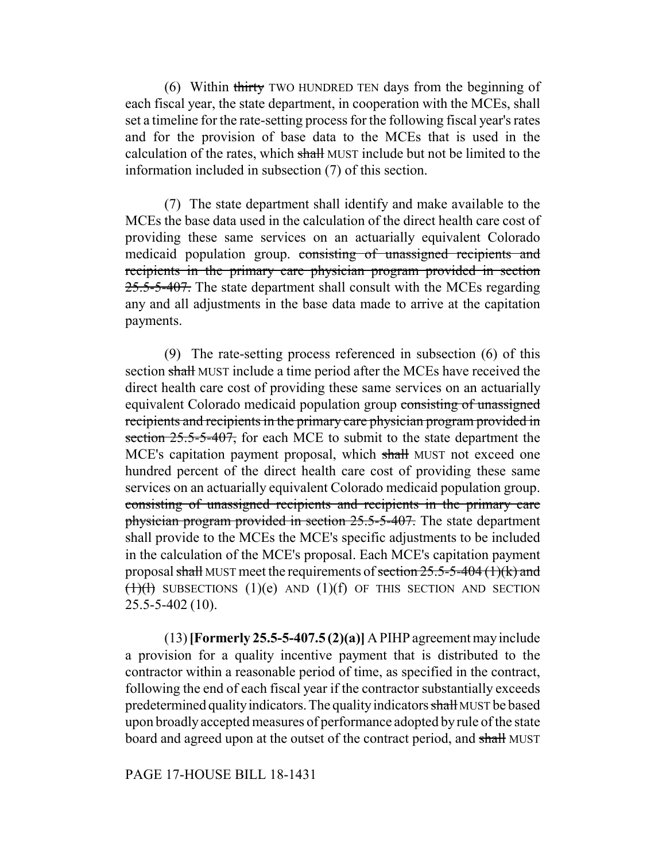(6) Within thirty TWO HUNDRED TEN days from the beginning of each fiscal year, the state department, in cooperation with the MCEs, shall set a timeline for the rate-setting process for the following fiscal year's rates and for the provision of base data to the MCEs that is used in the calculation of the rates, which shall MUST include but not be limited to the information included in subsection (7) of this section.

(7) The state department shall identify and make available to the MCEs the base data used in the calculation of the direct health care cost of providing these same services on an actuarially equivalent Colorado medicaid population group. consisting of unassigned recipients and recipients in the primary care physician program provided in section 25.5-5-407. The state department shall consult with the MCEs regarding any and all adjustments in the base data made to arrive at the capitation payments.

(9) The rate-setting process referenced in subsection (6) of this section shall MUST include a time period after the MCEs have received the direct health care cost of providing these same services on an actuarially equivalent Colorado medicaid population group consisting of unassigned recipients and recipients in the primary care physician program provided in section 25.5-5-407, for each MCE to submit to the state department the MCE's capitation payment proposal, which shall MUST not exceed one hundred percent of the direct health care cost of providing these same services on an actuarially equivalent Colorado medicaid population group. consisting of unassigned recipients and recipients in the primary care physician program provided in section 25.5-5-407. The state department shall provide to the MCEs the MCE's specific adjustments to be included in the calculation of the MCE's proposal. Each MCE's capitation payment proposal shall MUST meet the requirements of section  $25.5-5-404$  (1)(k) and  $(1)(t)$  SUBSECTIONS  $(1)(e)$  AND  $(1)(f)$  OF THIS SECTION AND SECTION 25.5-5-402 (10).

(13) **[Formerly 25.5-5-407.5 (2)(a)]** A PIHP agreement may include a provision for a quality incentive payment that is distributed to the contractor within a reasonable period of time, as specified in the contract, following the end of each fiscal year if the contractor substantially exceeds predetermined quality indicators. The quality indicators shall MUST be based upon broadly accepted measures of performance adopted by rule of the state board and agreed upon at the outset of the contract period, and shall MUST

#### PAGE 17-HOUSE BILL 18-1431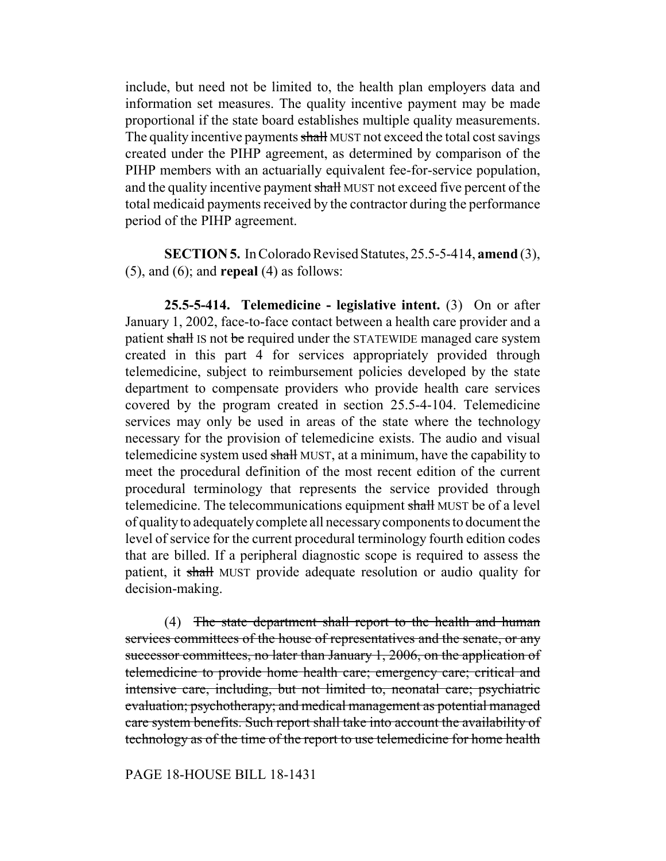include, but need not be limited to, the health plan employers data and information set measures. The quality incentive payment may be made proportional if the state board establishes multiple quality measurements. The quality incentive payments shall MUST not exceed the total cost savings created under the PIHP agreement, as determined by comparison of the PIHP members with an actuarially equivalent fee-for-service population, and the quality incentive payment shall MUST not exceed five percent of the total medicaid payments received by the contractor during the performance period of the PIHP agreement.

**SECTION 5.** In Colorado Revised Statutes, 25.5-5-414, **amend** (3), (5), and (6); and **repeal** (4) as follows:

**25.5-5-414. Telemedicine - legislative intent.** (3) On or after January 1, 2002, face-to-face contact between a health care provider and a patient shall IS not be required under the STATEWIDE managed care system created in this part 4 for services appropriately provided through telemedicine, subject to reimbursement policies developed by the state department to compensate providers who provide health care services covered by the program created in section 25.5-4-104. Telemedicine services may only be used in areas of the state where the technology necessary for the provision of telemedicine exists. The audio and visual telemedicine system used shall MUST, at a minimum, have the capability to meet the procedural definition of the most recent edition of the current procedural terminology that represents the service provided through telemedicine. The telecommunications equipment shall MUST be of a level of quality to adequately complete all necessary components to document the level of service for the current procedural terminology fourth edition codes that are billed. If a peripheral diagnostic scope is required to assess the patient, it shall MUST provide adequate resolution or audio quality for decision-making.

(4) The state department shall report to the health and human services committees of the house of representatives and the senate, or any successor committees, no later than January 1, 2006, on the application of telemedicine to provide home health care; emergency care; critical and intensive care, including, but not limited to, neonatal care; psychiatric evaluation; psychotherapy; and medical management as potential managed care system benefits. Such report shall take into account the availability of technology as of the time of the report to use telemedicine for home health

#### PAGE 18-HOUSE BILL 18-1431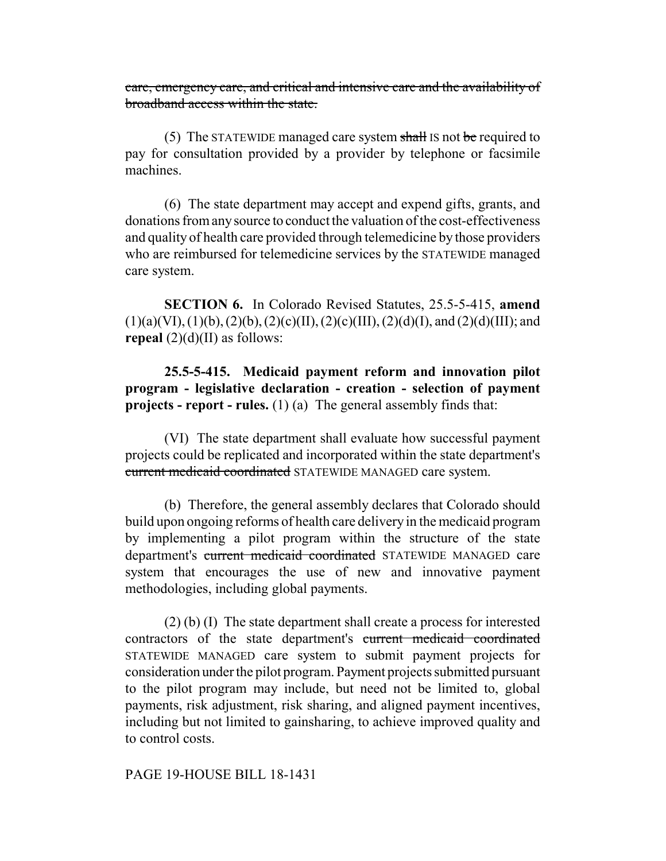care, emergency care, and critical and intensive care and the availability of broadband access within the state.

(5) The STATEWIDE managed care system shall IS not be required to pay for consultation provided by a provider by telephone or facsimile machines.

(6) The state department may accept and expend gifts, grants, and donations from any source to conduct the valuation of the cost-effectiveness and quality of health care provided through telemedicine by those providers who are reimbursed for telemedicine services by the STATEWIDE managed care system.

**SECTION 6.** In Colorado Revised Statutes, 25.5-5-415, **amend**  $(1)(a)(VI), (1)(b), (2)(b), (2)(c)(II), (2)(c)(III), (2)(d)(I), and (2)(d)(III); and$ **repeal**  $(2)(d)(II)$  as follows:

**25.5-5-415. Medicaid payment reform and innovation pilot program - legislative declaration - creation - selection of payment projects - report - rules.** (1) (a) The general assembly finds that:

(VI) The state department shall evaluate how successful payment projects could be replicated and incorporated within the state department's current medicaid coordinated STATEWIDE MANAGED care system.

(b) Therefore, the general assembly declares that Colorado should build upon ongoing reforms of health care delivery in the medicaid program by implementing a pilot program within the structure of the state department's current medicaid coordinated STATEWIDE MANAGED care system that encourages the use of new and innovative payment methodologies, including global payments.

(2) (b) (I) The state department shall create a process for interested contractors of the state department's current medicaid coordinated STATEWIDE MANAGED care system to submit payment projects for consideration under the pilot program. Payment projects submitted pursuant to the pilot program may include, but need not be limited to, global payments, risk adjustment, risk sharing, and aligned payment incentives, including but not limited to gainsharing, to achieve improved quality and to control costs.

PAGE 19-HOUSE BILL 18-1431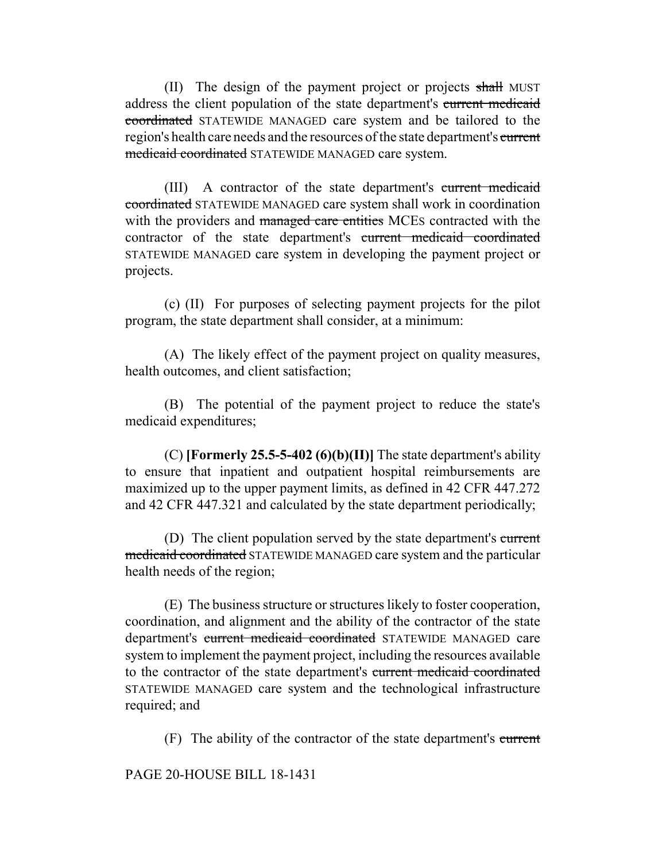(II) The design of the payment project or projects shall MUST address the client population of the state department's current medicaid coordinated STATEWIDE MANAGED care system and be tailored to the region's health care needs and the resources of the state department's current medicaid coordinated STATEWIDE MANAGED care system.

(III) A contractor of the state department's current medicaid coordinated STATEWIDE MANAGED care system shall work in coordination with the providers and managed care entities MCEs contracted with the contractor of the state department's current medicaid coordinated STATEWIDE MANAGED care system in developing the payment project or projects.

(c) (II) For purposes of selecting payment projects for the pilot program, the state department shall consider, at a minimum:

(A) The likely effect of the payment project on quality measures, health outcomes, and client satisfaction;

(B) The potential of the payment project to reduce the state's medicaid expenditures;

(C) **[Formerly 25.5-5-402 (6)(b)(II)]** The state department's ability to ensure that inpatient and outpatient hospital reimbursements are maximized up to the upper payment limits, as defined in 42 CFR 447.272 and 42 CFR 447.321 and calculated by the state department periodically;

(D) The client population served by the state department's current medicaid coordinated STATEWIDE MANAGED care system and the particular health needs of the region;

(E) The business structure or structures likely to foster cooperation, coordination, and alignment and the ability of the contractor of the state department's current medicaid coordinated STATEWIDE MANAGED care system to implement the payment project, including the resources available to the contractor of the state department's current medicaid coordinated STATEWIDE MANAGED care system and the technological infrastructure required; and

(F) The ability of the contractor of the state department's current

PAGE 20-HOUSE BILL 18-1431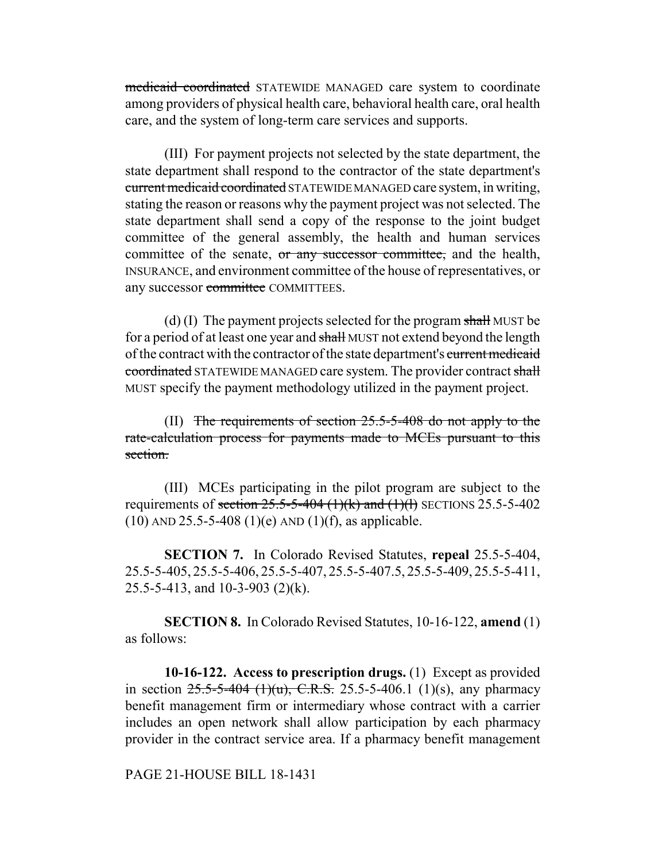medicaid coordinated STATEWIDE MANAGED care system to coordinate among providers of physical health care, behavioral health care, oral health care, and the system of long-term care services and supports.

(III) For payment projects not selected by the state department, the state department shall respond to the contractor of the state department's current medicaid coordinated STATEWIDE MANAGED care system, in writing, stating the reason or reasons why the payment project was not selected. The state department shall send a copy of the response to the joint budget committee of the general assembly, the health and human services committee of the senate, or any successor committee, and the health, INSURANCE, and environment committee of the house of representatives, or any successor committee COMMITTEES.

(d) (I) The payment projects selected for the program shall MUST be for a period of at least one year and shall MUST not extend beyond the length of the contract with the contractor of the state department's current medicaid coordinated STATEWIDE MANAGED care system. The provider contract shall MUST specify the payment methodology utilized in the payment project.

(II) The requirements of section 25.5-5-408 do not apply to the rate-calculation process for payments made to MCEs pursuant to this section.

(III) MCEs participating in the pilot program are subject to the requirements of section  $25.5 - 5 - 404$  (1)(k) and (1)(l) SECTIONS 25.5-5-402  $(10)$  AND 25.5-5-408  $(1)(e)$  AND  $(1)(f)$ , as applicable.

**SECTION 7.** In Colorado Revised Statutes, **repeal** 25.5-5-404, 25.5-5-405, 25.5-5-406, 25.5-5-407, 25.5-5-407.5, 25.5-5-409, 25.5-5-411, 25.5-5-413, and 10-3-903 (2)(k).

**SECTION 8.** In Colorado Revised Statutes, 10-16-122, **amend** (1) as follows:

**10-16-122. Access to prescription drugs.** (1) Except as provided in section  $25.5-5-404$  (1)(u), C.R.S. 25.5-5-406.1 (1)(s), any pharmacy benefit management firm or intermediary whose contract with a carrier includes an open network shall allow participation by each pharmacy provider in the contract service area. If a pharmacy benefit management

PAGE 21-HOUSE BILL 18-1431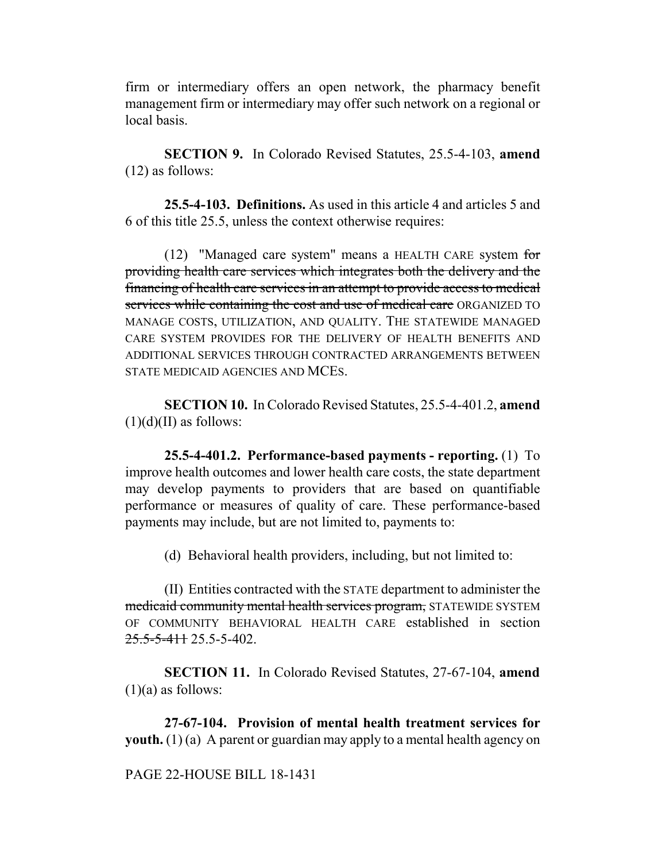firm or intermediary offers an open network, the pharmacy benefit management firm or intermediary may offer such network on a regional or local basis.

**SECTION 9.** In Colorado Revised Statutes, 25.5-4-103, **amend** (12) as follows:

**25.5-4-103. Definitions.** As used in this article 4 and articles 5 and 6 of this title 25.5, unless the context otherwise requires:

(12) "Managed care system" means a HEALTH CARE system for providing health care services which integrates both the delivery and the financing of health care services in an attempt to provide access to medical services while containing the cost and use of medical care ORGANIZED TO MANAGE COSTS, UTILIZATION, AND QUALITY. THE STATEWIDE MANAGED CARE SYSTEM PROVIDES FOR THE DELIVERY OF HEALTH BENEFITS AND ADDITIONAL SERVICES THROUGH CONTRACTED ARRANGEMENTS BETWEEN STATE MEDICAID AGENCIES AND MCES.

**SECTION 10.** In Colorado Revised Statutes, 25.5-4-401.2, **amend**  $(1)(d)(II)$  as follows:

**25.5-4-401.2. Performance-based payments - reporting.** (1) To improve health outcomes and lower health care costs, the state department may develop payments to providers that are based on quantifiable performance or measures of quality of care. These performance-based payments may include, but are not limited to, payments to:

(d) Behavioral health providers, including, but not limited to:

(II) Entities contracted with the STATE department to administer the medicaid community mental health services program, STATEWIDE SYSTEM OF COMMUNITY BEHAVIORAL HEALTH CARE established in section  $25.5 - 5 - 411$  25.5 - 5 - 402.

**SECTION 11.** In Colorado Revised Statutes, 27-67-104, **amend**  $(1)(a)$  as follows:

**27-67-104. Provision of mental health treatment services for youth.** (1) (a) A parent or guardian may apply to a mental health agency on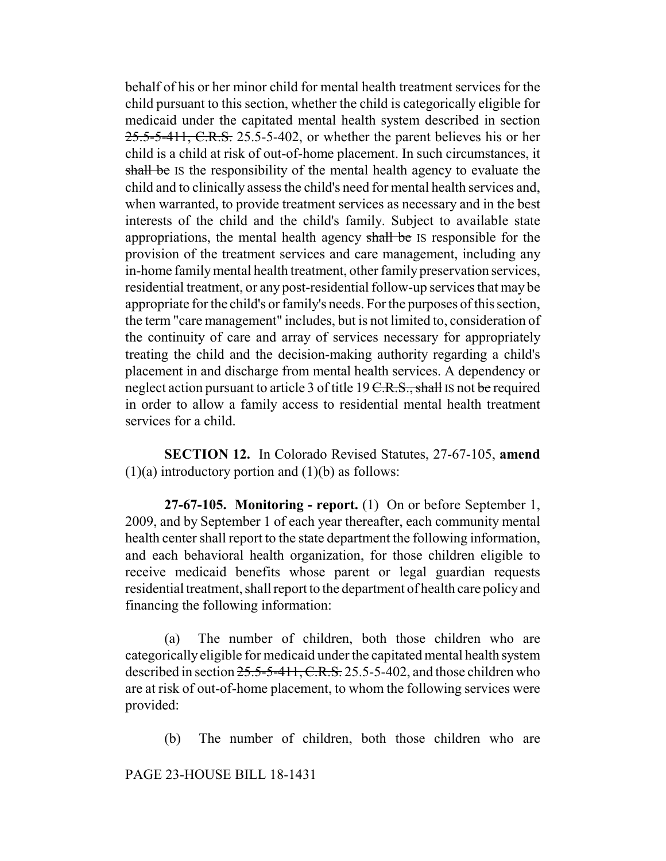behalf of his or her minor child for mental health treatment services for the child pursuant to this section, whether the child is categorically eligible for medicaid under the capitated mental health system described in section 25.5-5-411, C.R.S. 25.5-5-402, or whether the parent believes his or her child is a child at risk of out-of-home placement. In such circumstances, it shall be IS the responsibility of the mental health agency to evaluate the child and to clinically assess the child's need for mental health services and, when warranted, to provide treatment services as necessary and in the best interests of the child and the child's family. Subject to available state appropriations, the mental health agency shall be IS responsible for the provision of the treatment services and care management, including any in-home family mental health treatment, other family preservation services, residential treatment, or any post-residential follow-up services that may be appropriate for the child's or family's needs. For the purposes of this section, the term "care management" includes, but is not limited to, consideration of the continuity of care and array of services necessary for appropriately treating the child and the decision-making authority regarding a child's placement in and discharge from mental health services. A dependency or neglect action pursuant to article 3 of title  $19 \text{ C.R.S., shall is not be required}$ in order to allow a family access to residential mental health treatment services for a child.

**SECTION 12.** In Colorado Revised Statutes, 27-67-105, **amend**  $(1)(a)$  introductory portion and  $(1)(b)$  as follows:

**27-67-105. Monitoring - report.** (1) On or before September 1, 2009, and by September 1 of each year thereafter, each community mental health center shall report to the state department the following information, and each behavioral health organization, for those children eligible to receive medicaid benefits whose parent or legal guardian requests residential treatment, shall report to the department of health care policy and financing the following information:

(a) The number of children, both those children who are categorically eligible for medicaid under the capitated mental health system described in section  $25.5-5-411$ , C.R.S. 25.5-5-402, and those children who are at risk of out-of-home placement, to whom the following services were provided:

(b) The number of children, both those children who are

PAGE 23-HOUSE BILL 18-1431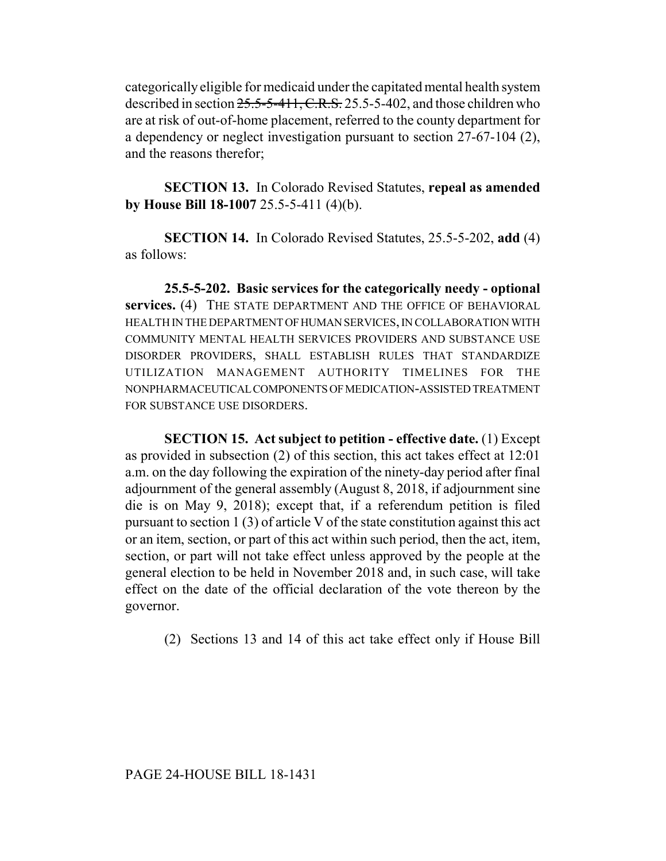categorically eligible for medicaid under the capitated mental health system described in section 25.5-5-411, C.R.S. 25.5-5-402, and those children who are at risk of out-of-home placement, referred to the county department for a dependency or neglect investigation pursuant to section 27-67-104 (2), and the reasons therefor;

**SECTION 13.** In Colorado Revised Statutes, **repeal as amended by House Bill 18-1007** 25.5-5-411 (4)(b).

**SECTION 14.** In Colorado Revised Statutes, 25.5-5-202, **add** (4) as follows:

**25.5-5-202. Basic services for the categorically needy - optional services.** (4) THE STATE DEPARTMENT AND THE OFFICE OF BEHAVIORAL HEALTH IN THE DEPARTMENT OF HUMAN SERVICES, IN COLLABORATION WITH COMMUNITY MENTAL HEALTH SERVICES PROVIDERS AND SUBSTANCE USE DISORDER PROVIDERS, SHALL ESTABLISH RULES THAT STANDARDIZE UTILIZATION MANAGEMENT AUTHORITY TIMELINES FOR THE NONPHARMACEUTICAL COMPONENTS OF MEDICATION-ASSISTED TREATMENT FOR SUBSTANCE USE DISORDERS.

**SECTION 15. Act subject to petition - effective date.** (1) Except as provided in subsection (2) of this section, this act takes effect at 12:01 a.m. on the day following the expiration of the ninety-day period after final adjournment of the general assembly (August 8, 2018, if adjournment sine die is on May 9, 2018); except that, if a referendum petition is filed pursuant to section 1 (3) of article V of the state constitution against this act or an item, section, or part of this act within such period, then the act, item, section, or part will not take effect unless approved by the people at the general election to be held in November 2018 and, in such case, will take effect on the date of the official declaration of the vote thereon by the governor.

(2) Sections 13 and 14 of this act take effect only if House Bill